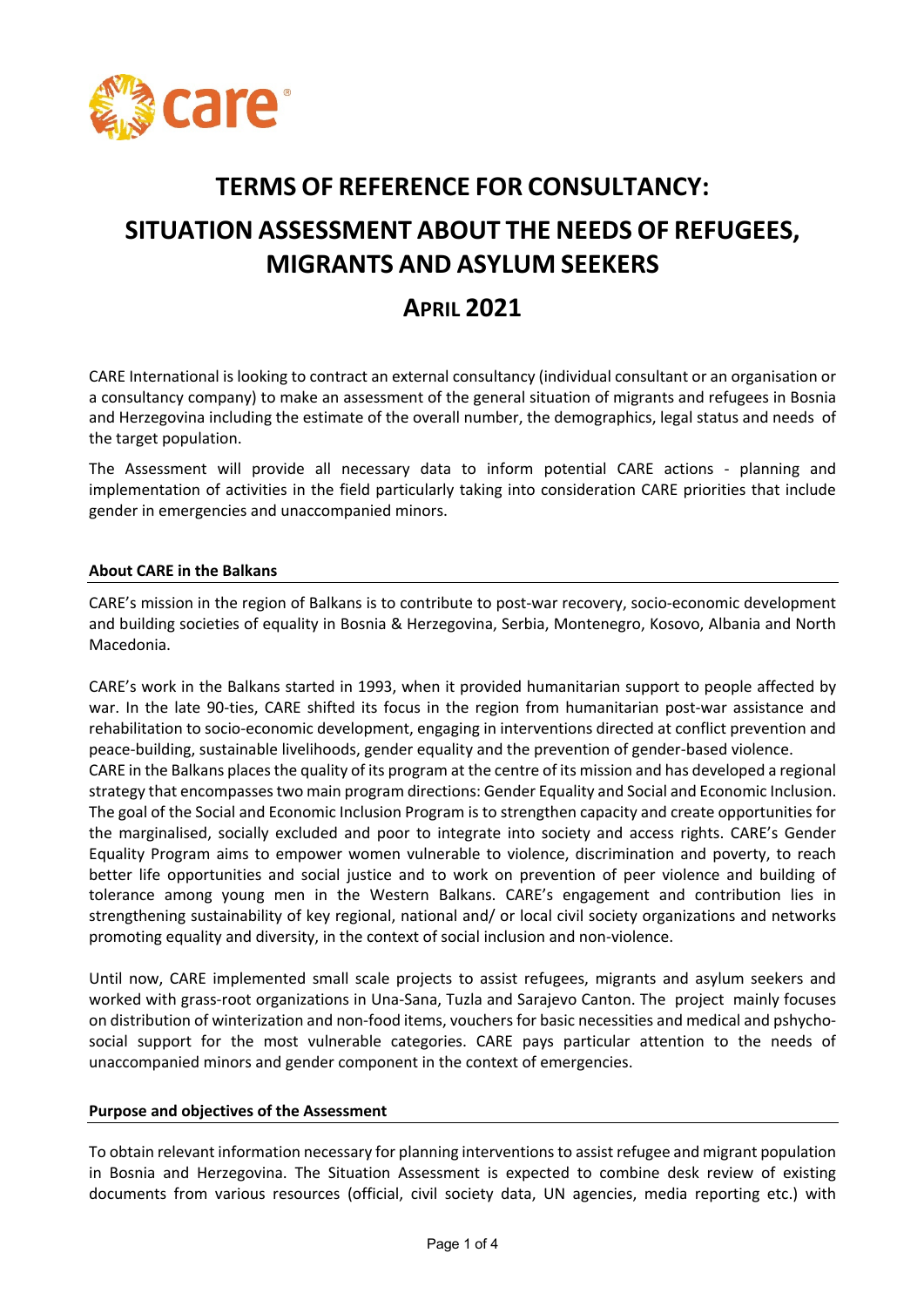

# **TERMS OF REFERENCE FOR CONSULTANCY: SITUATION ASSESSMENT ABOUT THE NEEDS OF REFUGEES, MIGRANTS AND ASYLUM SEEKERS**

# **APRIL 2021**

CARE International is looking to contract an external consultancy (individual consultant or an organisation or a consultancy company) to make an assessment of the general situation of migrants and refugees in Bosnia and Herzegovina including the estimate of the overall number, the demographics, legal status and needs of the target population.

The Assessment will provide all necessary data to inform potential CARE actions - planning and implementation of activities in the field particularly taking into consideration CARE priorities that include gender in emergencies and unaccompanied minors.

#### **About CARE in the Balkans**

CARE's mission in the region of Balkans is to contribute to post-war recovery, socio-economic development and building societies of equality in Bosnia & Herzegovina, Serbia, Montenegro, Kosovo, Albania and North Macedonia.

CARE's work in the Balkans started in 1993, when it provided humanitarian support to people affected by war. In the late 90-ties, CARE shifted its focus in the region from humanitarian post-war assistance and rehabilitation to socio-economic development, engaging in interventions directed at conflict prevention and peace-building, sustainable livelihoods, gender equality and the prevention of gender-based violence. CARE in the Balkans places the quality of its program at the centre of its mission and has developed a regional strategy that encompasses two main program directions: Gender Equality and Social and Economic Inclusion. The goal of the Social and Economic Inclusion Program is to strengthen capacity and create opportunities for the marginalised, socially excluded and poor to integrate into society and access rights. CARE's Gender Equality Program aims to empower women vulnerable to violence, discrimination and poverty, to reach better life opportunities and social justice and to work on prevention of peer violence and building of tolerance among young men in the Western Balkans. CARE's engagement and contribution lies in strengthening sustainability of key regional, national and/ or local civil society organizations and networks promoting equality and diversity, in the context of social inclusion and non-violence.

Until now, CARE implemented small scale projects to assist refugees, migrants and asylum seekers and worked with grass-root organizations in Una-Sana, Tuzla and Sarajevo Canton. The project mainly focuses on distribution of winterization and non-food items, vouchers for basic necessities and medical and pshychosocial support for the most vulnerable categories. CARE pays particular attention to the needs of unaccompanied minors and gender component in the context of emergencies.

#### **Purpose and objectives of the Assessment**

To obtain relevant information necessary for planning interventions to assist refugee and migrant population in Bosnia and Herzegovina. The Situation Assessment is expected to combine desk review of existing documents from various resources (official, civil society data, UN agencies, media reporting etc.) with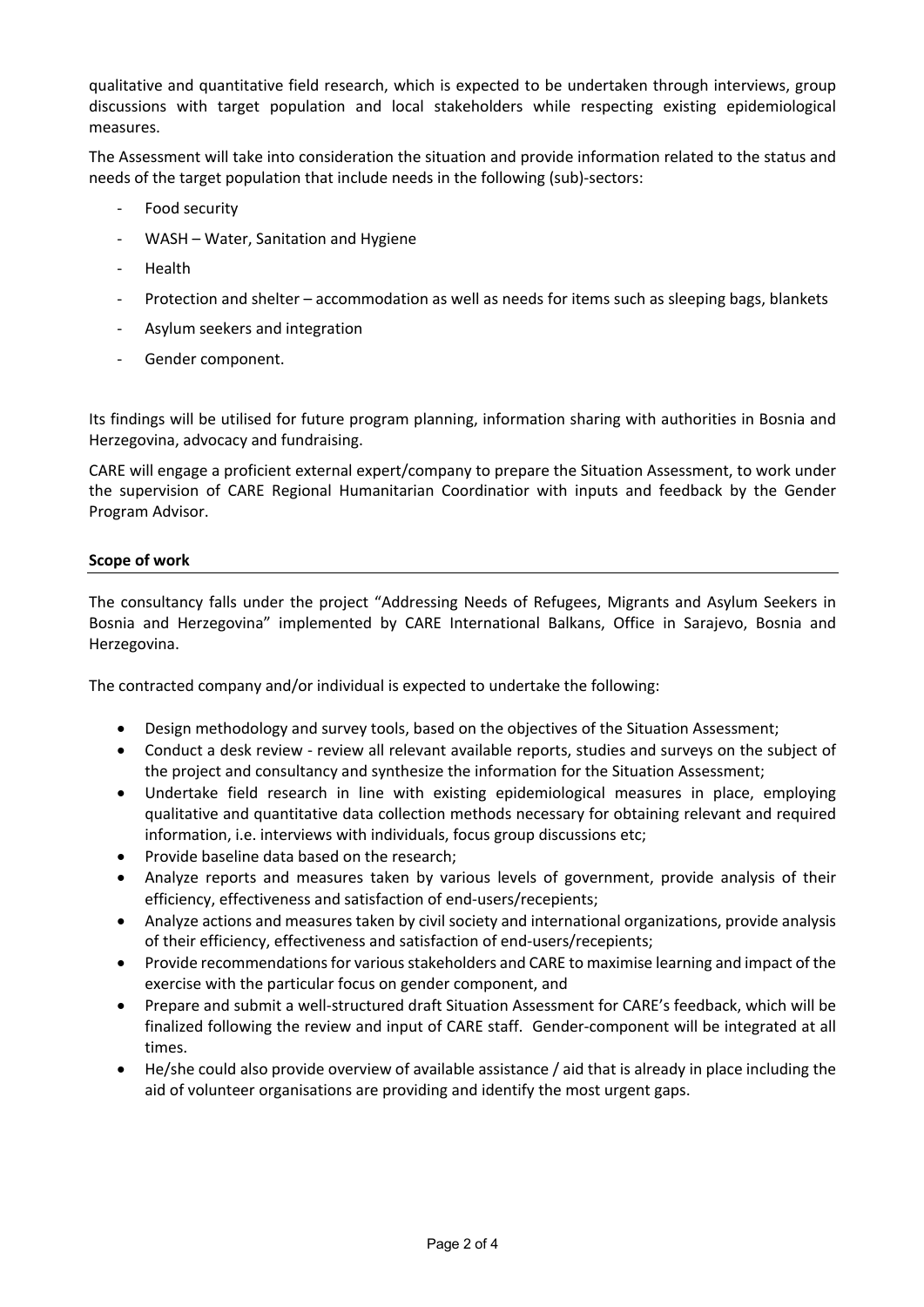qualitative and quantitative field research, which is expected to be undertaken through interviews, group discussions with target population and local stakeholders while respecting existing epidemiological measures.

The Assessment will take into consideration the situation and provide information related to the status and needs of the target population that include needs in the following (sub)-sectors:

- Food security
- WASH Water, Sanitation and Hygiene
- Health
- Protection and shelter accommodation as well as needs for items such as sleeping bags, blankets
- Asylum seekers and integration
- Gender component.

Its findings will be utilised for future program planning, information sharing with authorities in Bosnia and Herzegovina, advocacy and fundraising.

CARE will engage a proficient external expert/company to prepare the Situation Assessment, to work under the supervision of CARE Regional Humanitarian Coordinatior with inputs and feedback by the Gender Program Advisor.

## **Scope of work**

The consultancy falls under the project "Addressing Needs of Refugees, Migrants and Asylum Seekers in Bosnia and Herzegovina" implemented by CARE International Balkans, Office in Sarajevo, Bosnia and Herzegovina.

The contracted company and/or individual is expected to undertake the following:

- Design methodology and survey tools, based on the objectives of the Situation Assessment;
- Conduct a desk review review all relevant available reports, studies and surveys on the subject of the project and consultancy and synthesize the information for the Situation Assessment;
- Undertake field research in line with existing epidemiological measures in place, employing qualitative and quantitative data collection methods necessary for obtaining relevant and required information, i.e. interviews with individuals, focus group discussions etc;
- Provide baseline data based on the research;
- Analyze reports and measures taken by various levels of government, provide analysis of their efficiency, effectiveness and satisfaction of end-users/recepients;
- Analyze actions and measures taken by civil society and international organizations, provide analysis of their efficiency, effectiveness and satisfaction of end-users/recepients;
- Provide recommendations for various stakeholders and CARE to maximise learning and impact of the exercise with the particular focus on gender component, and
- Prepare and submit a well-structured draft Situation Assessment for CARE's feedback, which will be finalized following the review and input of CARE staff. Gender-component will be integrated at all times.
- He/she could also provide overview of available assistance / aid that is already in place including the aid of volunteer organisations are providing and identify the most urgent gaps.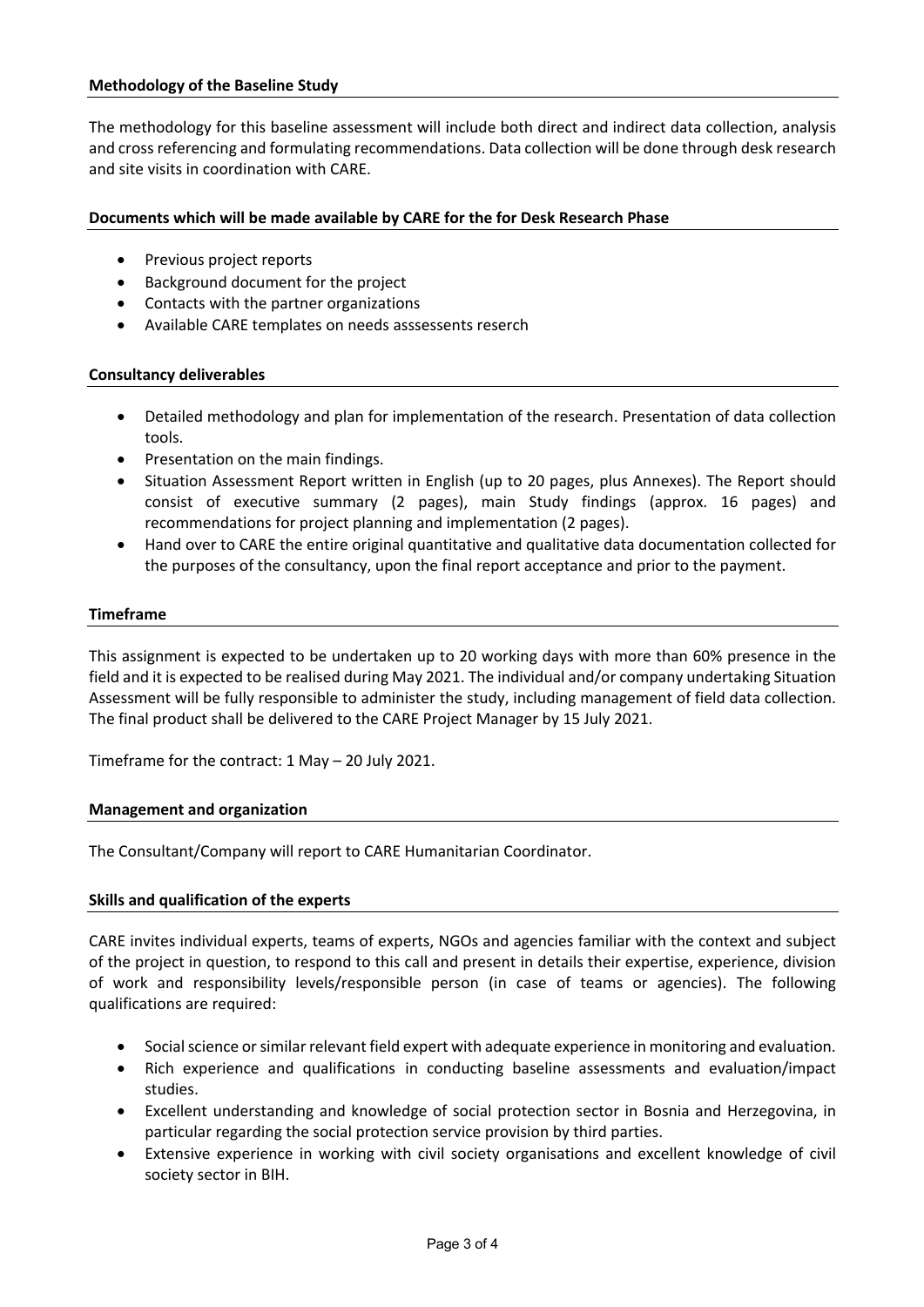The methodology for this baseline assessment will include both direct and indirect data collection, analysis and cross referencing and formulating recommendations. Data collection will be done through desk research and site visits in coordination with CARE.

#### **Documents which will be made available by CARE for the for Desk Research Phase**

- Previous project reports
- Background document for the project
- Contacts with the partner organizations
- Available CARE templates on needs asssessents reserch

#### **Consultancy deliverables**

- Detailed methodology and plan for implementation of the research. Presentation of data collection tools.
- Presentation on the main findings.
- Situation Assessment Report written in English (up to 20 pages, plus Annexes). The Report should consist of executive summary (2 pages), main Study findings (approx. 16 pages) and recommendations for project planning and implementation (2 pages).
- Hand over to CARE the entire original quantitative and qualitative data documentation collected for the purposes of the consultancy, upon the final report acceptance and prior to the payment.

#### **Timeframe**

This assignment is expected to be undertaken up to 20 working days with more than 60% presence in the field and it is expected to be realised during May 2021. The individual and/or company undertaking Situation Assessment will be fully responsible to administer the study, including management of field data collection. The final product shall be delivered to the CARE Project Manager by 15 July 2021.

Timeframe for the contract: 1 May – 20 July 2021.

#### **Management and organization**

The Consultant/Company will report to CARE Humanitarian Coordinator.

#### **Skills and qualification of the experts**

CARE invites individual experts, teams of experts, NGOs and agencies familiar with the context and subject of the project in question, to respond to this call and present in details their expertise, experience, division of work and responsibility levels/responsible person (in case of teams or agencies). The following qualifications are required:

- Social science or similar relevant field expert with adequate experience in monitoring and evaluation.
- Rich experience and qualifications in conducting baseline assessments and evaluation/impact studies.
- Excellent understanding and knowledge of social protection sector in Bosnia and Herzegovina, in particular regarding the social protection service provision by third parties.
- Extensive experience in working with civil society organisations and excellent knowledge of civil society sector in BIH.